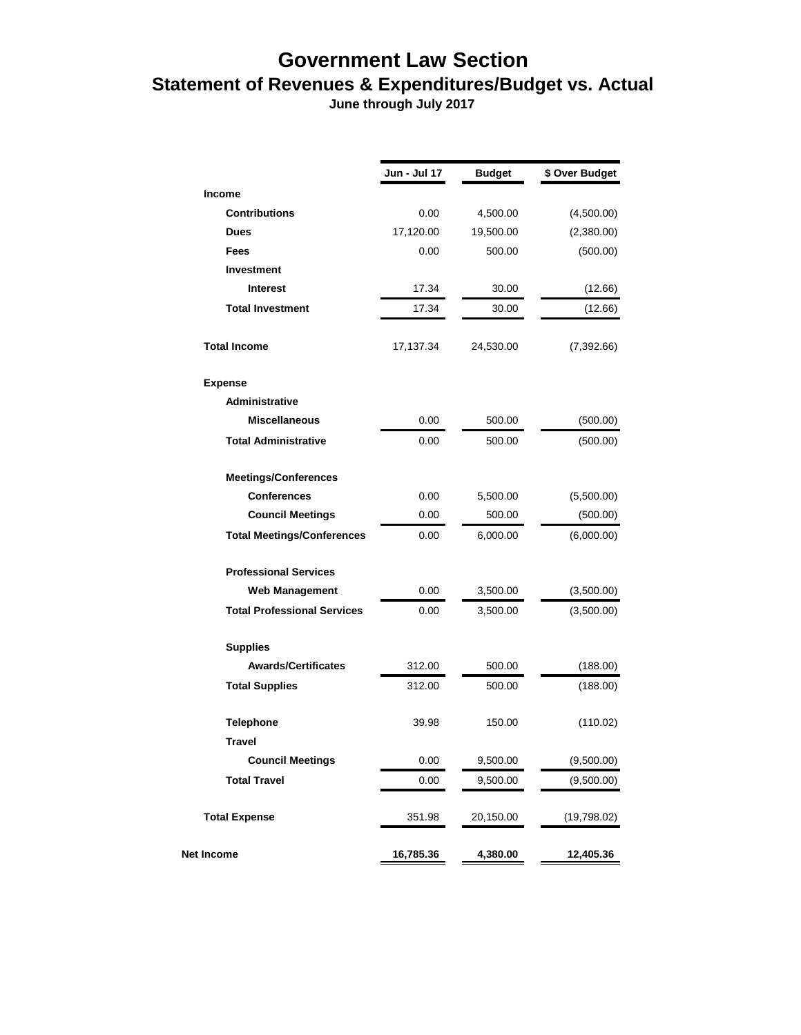## **Government Law Section Statement of Revenues & Expenditures/Budget vs. Actual**

 **June through July 2017**

|                                    | Jun - Jul 17 | <b>Budget</b> | \$ Over Budget |
|------------------------------------|--------------|---------------|----------------|
| <b>Income</b>                      |              |               |                |
| <b>Contributions</b>               | 0.00         | 4,500.00      | (4,500.00)     |
| <b>Dues</b>                        | 17,120.00    | 19,500.00     | (2,380.00)     |
| <b>Fees</b>                        | 0.00         | 500.00        | (500.00)       |
| <b>Investment</b>                  |              |               |                |
| <b>Interest</b>                    | 17.34        | 30.00         | (12.66)        |
| <b>Total Investment</b>            | 17.34        | 30.00         | (12.66)        |
| <b>Total Income</b>                | 17,137.34    | 24,530.00     | (7, 392.66)    |
| <b>Expense</b>                     |              |               |                |
| <b>Administrative</b>              |              |               |                |
| <b>Miscellaneous</b>               | 0.00         | 500.00        | (500.00)       |
| <b>Total Administrative</b>        | 0.00         | 500.00        | (500.00)       |
| <b>Meetings/Conferences</b>        |              |               |                |
| <b>Conferences</b>                 | 0.00         | 5,500.00      | (5,500.00)     |
| <b>Council Meetings</b>            | 0.00         | 500.00        | (500.00)       |
| <b>Total Meetings/Conferences</b>  | 0.00         | 6,000.00      | (6,000.00)     |
| <b>Professional Services</b>       |              |               |                |
| <b>Web Management</b>              | 0.00         | 3,500.00      | (3,500.00)     |
| <b>Total Professional Services</b> | 0.00         | 3,500.00      | (3,500.00)     |
| <b>Supplies</b>                    |              |               |                |
| <b>Awards/Certificates</b>         | 312.00       | 500.00        | (188.00)       |
| <b>Total Supplies</b>              | 312.00       | 500.00        | (188.00)       |
| <b>Telephone</b>                   | 39.98        | 150.00        | (110.02)       |
| Travel                             |              |               |                |
| <b>Council Meetings</b>            | 0.00         | 9,500.00      | (9,500.00)     |
| <b>Total Travel</b>                | 0.00         | 9,500.00      | (9,500.00)     |
| <b>Total Expense</b>               | 351.98       | 20,150.00     | (19,798.02)    |
| Net Income                         | 16,785.36    | 4,380.00      | 12,405.36      |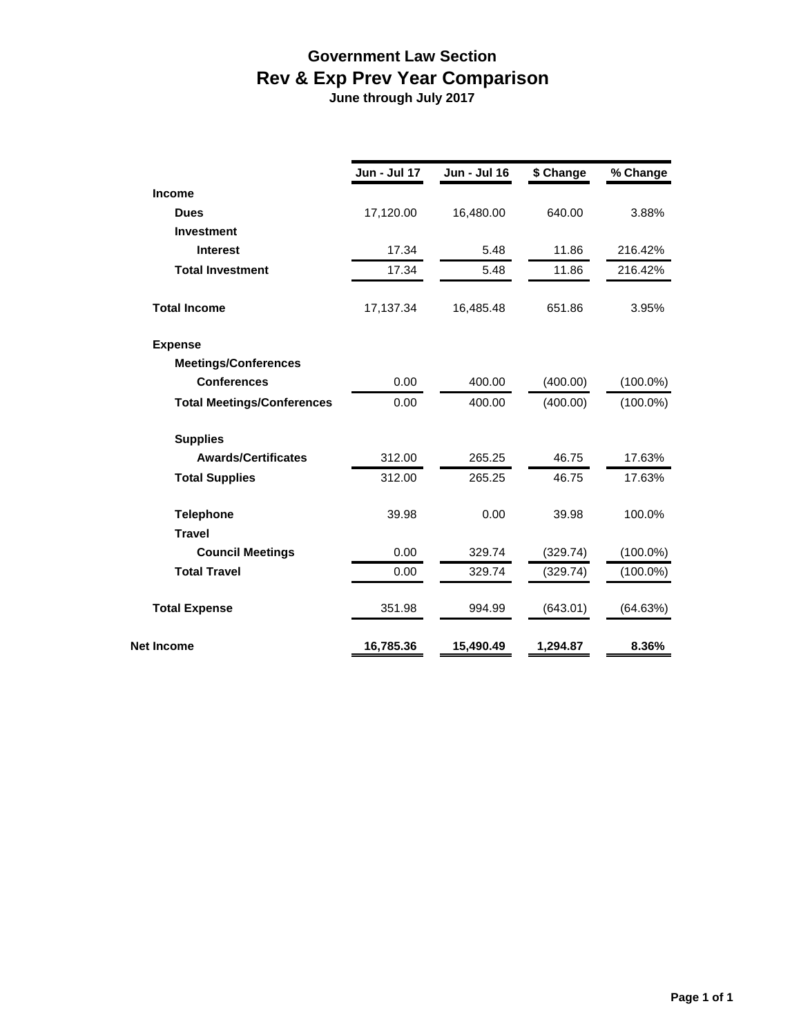## **Government Law Section Rev & Exp Prev Year Comparison**

 **June through July 2017**

|                                   | <b>Jun - Jul 17</b> | <b>Jun - Jul 16</b> | \$ Change | % Change    |
|-----------------------------------|---------------------|---------------------|-----------|-------------|
| <b>Income</b>                     |                     |                     |           |             |
| <b>Dues</b>                       | 17,120.00           | 16,480.00           | 640.00    | 3.88%       |
| <b>Investment</b>                 |                     |                     |           |             |
| <b>Interest</b>                   | 17.34               | 5.48                | 11.86     | 216.42%     |
| <b>Total Investment</b>           | 17.34               | 5.48                | 11.86     | 216.42%     |
| <b>Total Income</b>               | 17,137.34           | 16,485.48           | 651.86    | 3.95%       |
| <b>Expense</b>                    |                     |                     |           |             |
| <b>Meetings/Conferences</b>       |                     |                     |           |             |
| <b>Conferences</b>                | 0.00                | 400.00              | (400.00)  | $(100.0\%)$ |
| <b>Total Meetings/Conferences</b> | 0.00                | 400.00              | (400.00)  | $(100.0\%)$ |
| <b>Supplies</b>                   |                     |                     |           |             |
| <b>Awards/Certificates</b>        | 312.00              | 265.25              | 46.75     | 17.63%      |
| <b>Total Supplies</b>             | 312.00              | 265.25              | 46.75     | 17.63%      |
| <b>Telephone</b>                  | 39.98               | 0.00                | 39.98     | 100.0%      |
| <b>Travel</b>                     |                     |                     |           |             |
| <b>Council Meetings</b>           | 0.00                | 329.74              | (329.74)  | $(100.0\%)$ |
| <b>Total Travel</b>               | 0.00                | 329.74              | (329.74)  | $(100.0\%)$ |
| <b>Total Expense</b>              | 351.98              | 994.99              | (643.01)  | (64.63%)    |
| <b>Net Income</b>                 | 16,785.36           | 15,490.49           | 1,294.87  | 8.36%       |